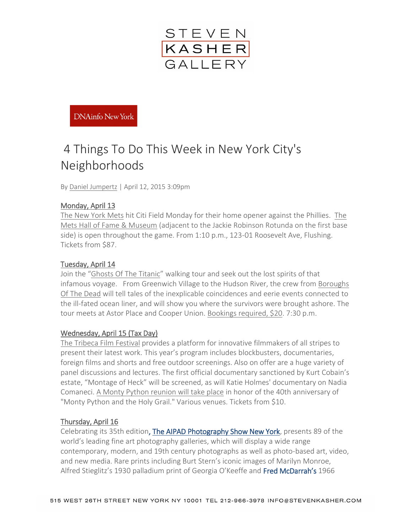

**DNAinfo New York** 

# 4 Things To Do This Week in New York City's Neighborhoods

By [Daniel Jumpertz](http://www.dnainfo.com/new-york/about-us/our-team/daniel-jumpertz) | April 12, 2015 3:09pm

## Monday, April 13

[The New York Mets](http://newyork.mets.mlb.com/) hit Citi Field Monday for their home opener against the Phillies. [The](http://newyork.mets.mlb.com/nym/ballpark/hall_of_fame.jsp)  [Mets Hall of Fame & Museum](http://newyork.mets.mlb.com/nym/ballpark/hall_of_fame.jsp) (adjacent to the Jackie Robinson Rotunda on the first base side) is open throughout the game. From 1:10 p.m., 123-01 Roosevelt Ave, Flushing. Tickets from \$87.

## Tuesday, April 14

Join the "[Ghosts Of The Titanic](http://boroughsofthedead.com/homepage/)" walking tour and seek out the lost spirits of that infamous voyage. From Greenwich Village to the Hudson River, the crew from [Boroughs](http://boroughsofthedead.com/homepage/)  [Of The Dead](http://boroughsofthedead.com/homepage/) will tell tales of the inexplicable coincidences and eerie events connected to the ill-fated ocean liner, and will show you where the survivors were brought ashore. The tour meets at Astor Place and Cooper Union. [Bookings required, \\$20.](http://boroughsofthedead.com/homepage/events/ghosts-titanic/) 7:30 p.m.

## Wednesday, April 15 (Tax Day)

[The Tribeca Film Festival](https://tribecafilm.com/festival) provides a platform for innovative filmmakers of all stripes to present their latest work. This year's program includes blockbusters, documentaries, foreign films and shorts and free outdoor screenings. Also on offer are a huge variety of panel discussions and lectures. The first official documentary sanctioned by Kurt Cobain's estate, "Montage of Heck" will be screened, as will Katie Holmes' documentary on Nadia Comaneci. [A Monty Python reunion will take place](https://tribecafilm.com/stories/tribeca-film-festival-2015-monty-python) in honor of the 40th anniversary of "Monty Python and the Holy Grail." Various venues. Tickets from \$10.

## Thursday, April 16

Celebrating its 35th edition[, The AIPAD Photography Show New York,](http://www.aipad.com/?page=PhotographyShow) presents 89 of the world's leading fine art photography galleries, which will display a wide range contemporary, modern, and 19th century photographs as well as photo-based art, video, and new media. Rare prints including Burt Stern's iconic images of Marilyn Monroe, Alfred Stieglitz's 1930 palladium print of Georgia O'Keeffe and Fred McDarrah's 1966